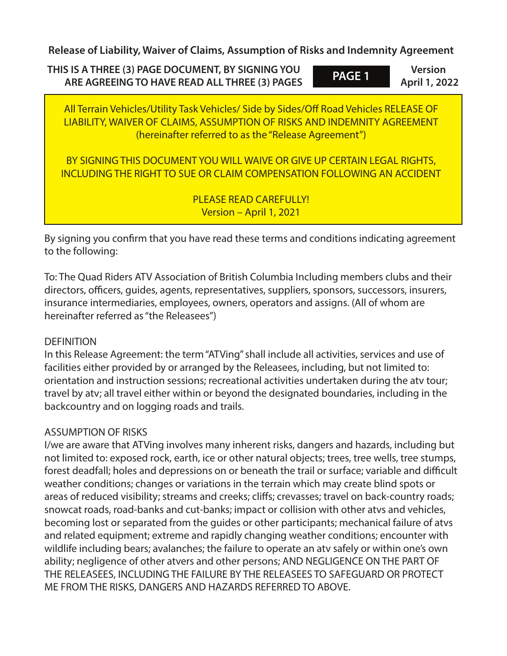**Release of Liability, Waiver of Claims, Assumption of Risks and Indemnity Agreement**

**THIS IS A THREE (3) PAGE DOCUMENT, BY SIGNING YOU ARE AGREEING TO HAVE READ ALL THREE (3) PAGES**

**Version April 1, 2022 PAGE 1**

All Terrain Vehicles/Utility Task Vehicles/ Side by Sides/Off Road Vehicles RELEASE OF LIABILITY, WAIVER OF CLAIMS, ASSUMPTION OF RISKS AND INDEMNITY AGREEMENT (hereinafter referred to as the "Release Agreement")

BY SIGNING THIS DOCUMENT YOU WILL WAIVE OR GIVE UP CERTAIN LEGAL RIGHTS, INCLUDING THE RIGHT TO SUE OR CLAIM COMPENSATION FOLLOWING AN ACCIDENT

> PLEASE READ CAREFULLY! Version – April 1, 2021

By signing you confirm that you have read these terms and conditions indicating agreement to the following:

To: The Quad Riders ATV Association of British Columbia Including members clubs and their directors, officers, guides, agents, representatives, suppliers, sponsors, successors, insurers, insurance intermediaries, employees, owners, operators and assigns. (All of whom are hereinafter referred as "the Releasees")

## **DEFINITION**

In this Release Agreement: the term "ATVing" shall include all activities, services and use of facilities either provided by or arranged by the Releasees, including, but not limited to: orientation and instruction sessions; recreational activities undertaken during the atv tour; travel by atv; all travel either within or beyond the designated boundaries, including in the backcountry and on logging roads and trails.

## ASSUMPTION OF RISKS

I/we are aware that ATVing involves many inherent risks, dangers and hazards, including but not limited to: exposed rock, earth, ice or other natural objects; trees, tree wells, tree stumps, forest deadfall; holes and depressions on or beneath the trail or surface; variable and difficult weather conditions; changes or variations in the terrain which may create blind spots or areas of reduced visibility; streams and creeks; cliffs; crevasses; travel on back-country roads; snowcat roads, road-banks and cut-banks; impact or collision with other atvs and vehicles, becoming lost or separated from the guides or other participants; mechanical failure of atvs and related equipment; extreme and rapidly changing weather conditions; encounter with wildlife including bears; avalanches; the failure to operate an atv safely or within one's own ability; negligence of other atvers and other persons; AND NEGLIGENCE ON THE PART OF THE RELEASEES, INCLUDING THE FAILURE BY THE RELEASEES TO SAFEGUARD OR PROTECT ME FROM THE RISKS, DANGERS AND HAZARDS REFERRED TO ABOVE.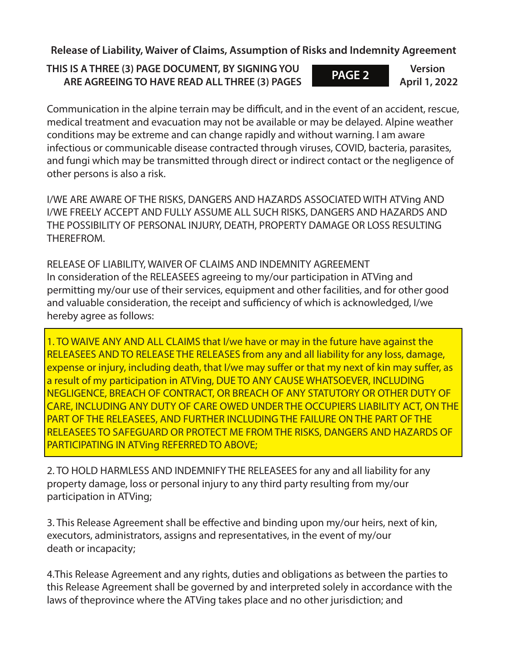**Release of Liability, Waiver of Claims, Assumption of Risks and Indemnity Agreement**

**THIS IS A THREE (3) PAGE DOCUMENT, BY SIGNING YOU ARE AGREEING TO HAVE READ ALL THREE (3) PAGES**

**Version April 1, 2022 PAGE 2**

Communication in the alpine terrain may be difficult, and in the event of an accident, rescue, medical treatment and evacuation may not be available or may be delayed. Alpine weather conditions may be extreme and can change rapidly and without warning. I am aware infectious or communicable disease contracted through viruses, COVID, bacteria, parasites, and fungi which may be transmitted through direct or indirect contact or the negligence of other persons is also a risk.

I/WE ARE AWARE OF THE RISKS, DANGERS AND HAZARDS ASSOCIATED WITH ATVing AND I/WE FREELY ACCEPT AND FULLY ASSUME ALL SUCH RISKS, DANGERS AND HAZARDS AND THE POSSIBILITY OF PERSONAL INJURY, DEATH, PROPERTY DAMAGE OR LOSS RESULTING THEREFROM.

RELEASE OF LIABILITY, WAIVER OF CLAIMS AND INDEMNITY AGREEMENT In consideration of the RELEASEES agreeing to my/our participation in ATVing and permitting my/our use of their services, equipment and other facilities, and for other good and valuable consideration, the receipt and sufficiency of which is acknowledged, I/we hereby agree as follows:

1. TO WAIVE ANY AND ALL CLAIMS that I/we have or may in the future have against the RELEASEES AND TO RELEASE THE RELEASES from any and all liability for any loss, damage, expense or injury, including death, that I/we may suffer or that my next of kin may suffer, as a result of my participation in ATVing, DUE TO ANY CAUSE WHATSOEVER, INCLUDING NEGLIGENCE, BREACH OF CONTRACT, OR BREACH OF ANY STATUTORY OR OTHER DUTY OF CARE, INCLUDING ANY DUTY OF CARE OWED UNDER THE OCCUPIERS LIABILITY ACT, ON THE PART OF THE RELEASEES, AND FURTHER INCLUDING THE FAILURE ON THE PART OF THE RELEASEES TO SAFEGUARD OR PROTECT ME FROM THE RISKS, DANGERS AND HAZARDS OF PARTICIPATING IN ATVing REFERRED TO ABOVE;

2. TO HOLD HARMLESS AND INDEMNIFY THE RELEASEES for any and all liability for any property damage, loss or personal injury to any third party resulting from my/our participation in ATVing;

3. This Release Agreement shall be effective and binding upon my/our heirs, next of kin, executors, administrators, assigns and representatives, in the event of my/our death or incapacity;

4.This Release Agreement and any rights, duties and obligations as between the parties to this Release Agreement shall be governed by and interpreted solely in accordance with the laws of theprovince where the ATVing takes place and no other jurisdiction; and